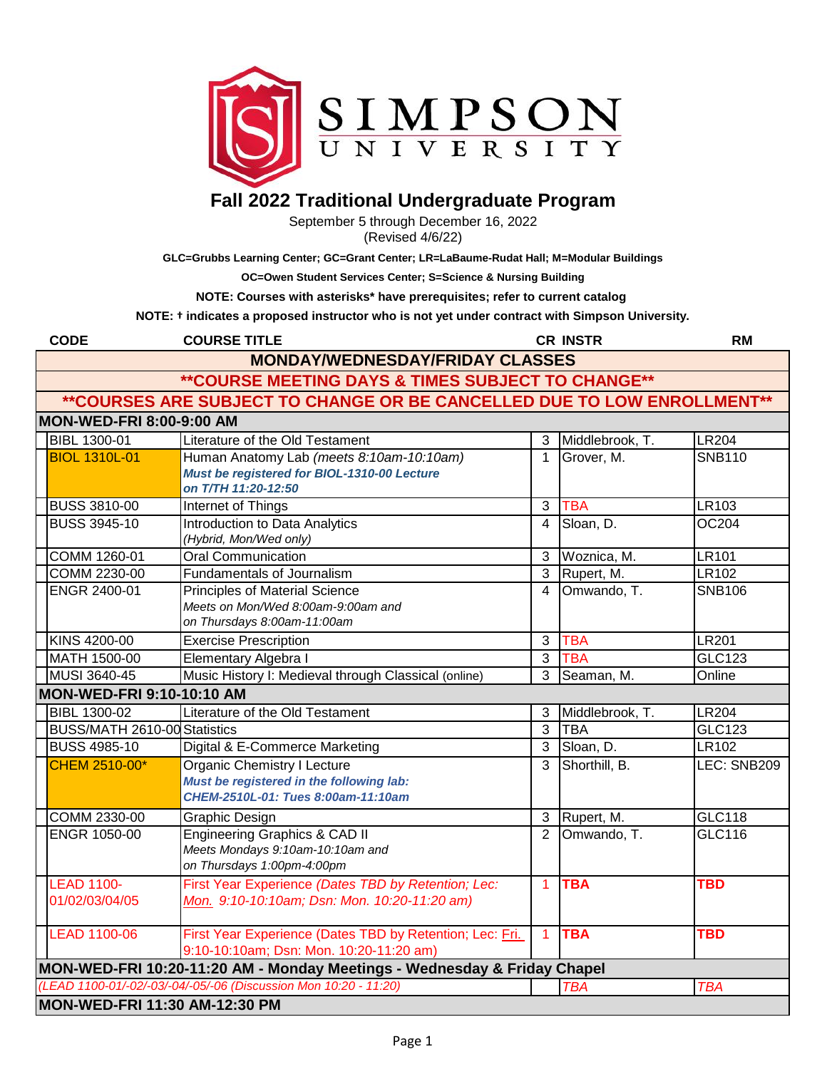

## **Fall 2022 Traditional Undergraduate Program**

September 5 through December 16, 2022 (Revised 4/6/22)

**GLC=Grubbs Learning Center; GC=Grant Center; LR=LaBaume-Rudat Hall; M=Modular Buildings**

**OC=Owen Student Services Center; S=Science & Nursing Building**

**NOTE: Courses with asterisks\* have prerequisites; refer to current catalog** 

**NOTE: † indicates a proposed instructor who is not yet under contract with Simpson University.** 

| <b>CODE</b>                                                             | <b>COURSE TITLE</b>                                                                                 |                | <b>CR INSTR</b> | <b>RM</b>     |  |
|-------------------------------------------------------------------------|-----------------------------------------------------------------------------------------------------|----------------|-----------------|---------------|--|
| <b>MONDAY/WEDNESDAY/FRIDAY CLASSES</b>                                  |                                                                                                     |                |                 |               |  |
| ** COURSE MEETING DAYS & TIMES SUBJECT TO CHANGE**                      |                                                                                                     |                |                 |               |  |
| **COURSES ARE SUBJECT TO CHANGE OR BE CANCELLED DUE TO LOW ENROLLMENT** |                                                                                                     |                |                 |               |  |
| <b>MON-WED-FRI 8:00-9:00 AM</b>                                         |                                                                                                     |                |                 |               |  |
| <b>BIBL 1300-01</b>                                                     | Literature of the Old Testament                                                                     | 3              | Middlebrook, T. | <b>LR204</b>  |  |
| <b>BIOL 1310L-01</b>                                                    | Human Anatomy Lab (meets 8:10am-10:10am)<br>Must be registered for BIOL-1310-00 Lecture             | $\mathbf{1}$   | Grover, M.      | <b>SNB110</b> |  |
|                                                                         | on T/TH 11:20-12:50                                                                                 |                |                 |               |  |
| <b>BUSS 3810-00</b>                                                     | <b>Internet of Things</b>                                                                           | $\overline{3}$ | <b>TBA</b>      | LR103         |  |
| <b>BUSS 3945-10</b>                                                     | Introduction to Data Analytics                                                                      | 4              | Sloan, D.       | <b>OC204</b>  |  |
|                                                                         | (Hybrid, Mon/Wed only)                                                                              |                |                 |               |  |
| COMM 1260-01                                                            | <b>Oral Communication</b>                                                                           | 3              | Woznica, M.     | <b>LR101</b>  |  |
| COMM 2230-00                                                            | Fundamentals of Journalism                                                                          | 3              | Rupert, M.      | LR102         |  |
| ENGR 2400-01                                                            | <b>Principles of Material Science</b>                                                               | 4              | Omwando, T.     | <b>SNB106</b> |  |
|                                                                         | Meets on Mon/Wed 8:00am-9:00am and<br>on Thursdays 8:00am-11:00am                                   |                |                 |               |  |
| KINS 4200-00                                                            | <b>Exercise Prescription</b>                                                                        | 3              | <b>TBA</b>      | <b>LR201</b>  |  |
| MATH 1500-00                                                            | Elementary Algebra I                                                                                | 3              | <b>TBA</b>      | <b>GLC123</b> |  |
| MUSI 3640-45                                                            | Music History I: Medieval through Classical (online)                                                | 3              | Seaman, M.      | Online        |  |
| <b>MON-WED-FRI 9:10-10:10 AM</b>                                        |                                                                                                     |                |                 |               |  |
| <b>BIBL 1300-02</b>                                                     | Literature of the Old Testament                                                                     | 3              | Middlebrook, T. | <b>LR204</b>  |  |
| BUSS/MATH 2610-00 Statistics                                            |                                                                                                     | 3              | <b>TBA</b>      | <b>GLC123</b> |  |
| <b>BUSS 4985-10</b>                                                     | Digital & E-Commerce Marketing                                                                      | 3              | Sloan, D.       | <b>LR102</b>  |  |
| CHEM 2510-00*                                                           | Organic Chemistry I Lecture                                                                         | 3              | Shorthill, B.   | LEC: SNB209   |  |
|                                                                         | Must be registered in the following lab:                                                            |                |                 |               |  |
|                                                                         | CHEM-2510L-01: Tues 8:00am-11:10am                                                                  |                |                 |               |  |
| COMM 2330-00                                                            | Graphic Design                                                                                      | 3              | Rupert, M.      | <b>GLC118</b> |  |
| ENGR 1050-00                                                            | <b>Engineering Graphics &amp; CAD II</b>                                                            | $\overline{2}$ | Omwando, T.     | GLC116        |  |
|                                                                         | Meets Mondays 9:10am-10:10am and                                                                    |                |                 |               |  |
|                                                                         | on Thursdays 1:00pm-4:00pm                                                                          |                |                 |               |  |
| <b>LEAD 1100-</b>                                                       | First Year Experience (Dates TBD by Retention; Lec:                                                 | $\mathbf{1}$   | <b>TBA</b>      | <b>TBD</b>    |  |
| 01/02/03/04/05                                                          | Mon. 9:10-10:10am; Dsn: Mon. 10:20-11:20 am)                                                        |                |                 |               |  |
|                                                                         |                                                                                                     |                |                 |               |  |
| <b>LEAD 1100-06</b>                                                     | First Year Experience (Dates TBD by Retention; Lec: Fri.<br>9:10-10:10am; Dsn: Mon. 10:20-11:20 am) | $\mathbf{1}$   | <b>TBA</b>      | <b>TBD</b>    |  |
|                                                                         | MON-WED-FRI 10:20-11:20 AM - Monday Meetings - Wednesday & Friday Chapel                            |                |                 |               |  |
|                                                                         | (LEAD 1100-01/-02/-03/-04/-05/-06 (Discussion Mon 10:20 - 11:20)                                    |                | <b>TBA</b>      | <b>TBA</b>    |  |
| MON-WED-FRI 11:30 AM-12:30 PM                                           |                                                                                                     |                |                 |               |  |
|                                                                         |                                                                                                     |                |                 |               |  |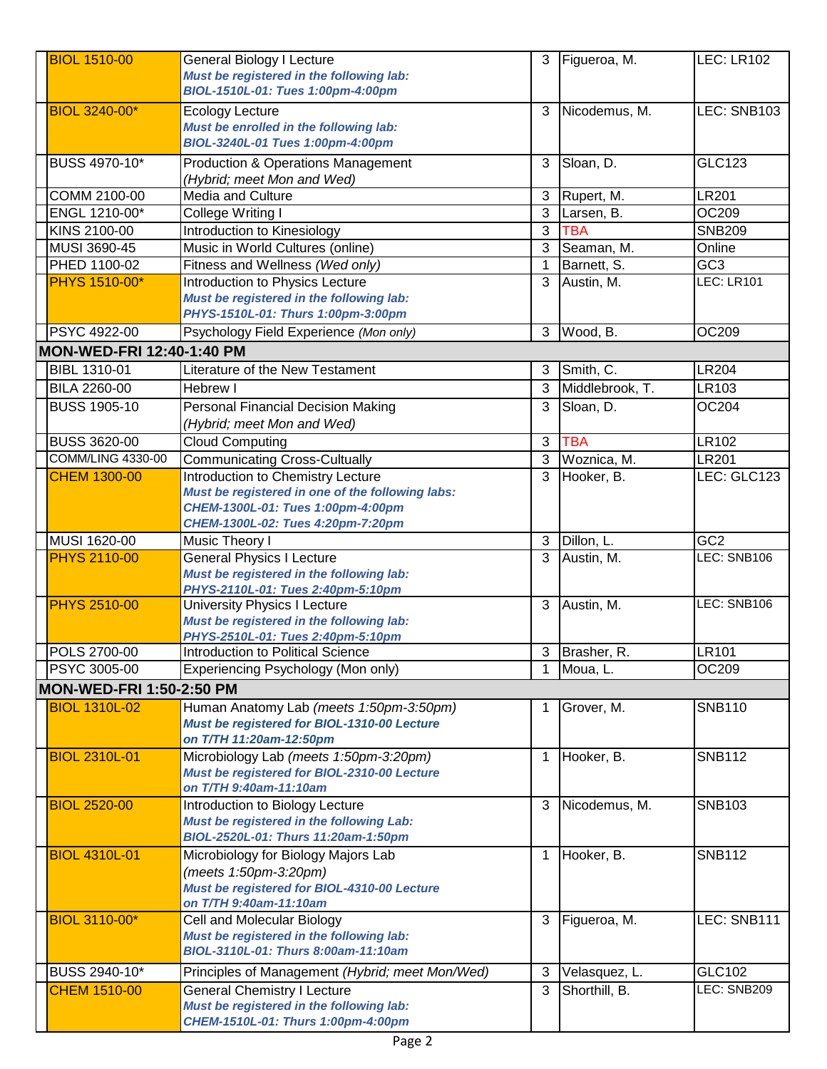| <b>BIOL 1510-00</b>              | <b>General Biology I Lecture</b>                                               | 3            | Figueroa, M.               | LEC: LR102        |
|----------------------------------|--------------------------------------------------------------------------------|--------------|----------------------------|-------------------|
|                                  | Must be registered in the following lab:                                       |              |                            |                   |
|                                  | BIOL-1510L-01: Tues 1:00pm-4:00pm                                              |              |                            |                   |
|                                  |                                                                                |              |                            |                   |
| <b>BIOL 3240-00*</b>             | <b>Ecology Lecture</b>                                                         | 3            | Nicodemus, M.              | LEC: SNB103       |
|                                  | Must be enrolled in the following lab:                                         |              |                            |                   |
|                                  | BIOL-3240L-01 Tues 1:00pm-4:00pm                                               |              |                            |                   |
| BUSS 4970-10*                    | <b>Production &amp; Operations Management</b>                                  | 3            | Sloan, D.                  | GLC123            |
|                                  | (Hybrid; meet Mon and Wed)                                                     |              |                            |                   |
| COMM 2100-00                     | Media and Culture                                                              | 3            | Rupert, M.                 | <b>LR201</b>      |
| ENGL 1210-00*                    | College Writing I                                                              | 3            | Larsen, B.                 | OC209             |
| KINS 2100-00                     | <b>Introduction to Kinesiology</b>                                             | 3            | <b>TBA</b>                 | <b>SNB209</b>     |
| MUSI 3690-45                     | Music in World Cultures (online)                                               | 3            | Seaman, M.                 | Online            |
| PHED 1100-02                     | Fitness and Wellness (Wed only)                                                | $\mathbf{1}$ | Barnett, S.                | GC <sub>3</sub>   |
| PHYS 1510-00*                    | Introduction to Physics Lecture                                                | 3            | Austin, M.                 | <b>LEC: LR101</b> |
|                                  | Must be registered in the following lab:                                       |              |                            |                   |
|                                  | PHYS-1510L-01: Thurs 1:00pm-3:00pm                                             |              |                            |                   |
| PSYC 4922-00                     | Psychology Field Experience (Mon only)                                         | 3            | Wood, B.                   | OC209             |
| <b>MON-WED-FRI 12:40-1:40 PM</b> |                                                                                |              |                            |                   |
|                                  |                                                                                |              |                            |                   |
| BIBL 1310-01                     | Literature of the New Testament                                                | 3            | Smith, C.                  | <b>LR204</b>      |
| <b>BILA 2260-00</b>              | Hebrew I                                                                       | 3            | Middlebrook, T.            | LR103             |
| <b>BUSS 1905-10</b>              | <b>Personal Financial Decision Making</b>                                      | 3            | Sloan, D.                  | OC204             |
|                                  | (Hybrid; meet Mon and Wed)                                                     |              |                            |                   |
| <b>BUSS 3620-00</b>              | <b>Cloud Computing</b>                                                         | 3            | <b>TBA</b>                 | LR102             |
| COMM/LING 4330-00                | <b>Communicating Cross-Cultually</b>                                           | 3            | Woznica, M.                | <b>LR201</b>      |
| <b>CHEM 1300-00</b>              | Introduction to Chemistry Lecture                                              | 3            | Hooker, B.                 | LEC: GLC123       |
|                                  | Must be registered in one of the following labs:                               |              |                            |                   |
|                                  | CHEM-1300L-01: Tues 1:00pm-4:00pm                                              |              |                            |                   |
|                                  | CHEM-1300L-02: Tues 4:20pm-7:20pm                                              |              |                            |                   |
| MUSI 1620-00                     | Music Theory I                                                                 | 3            | Dillon, L.                 | GC <sub>2</sub>   |
| <b>PHYS 2110-00</b>              | <b>General Physics I Lecture</b>                                               | 3            | Austin, M.                 | LEC: SNB106       |
|                                  | Must be registered in the following lab:                                       |              |                            |                   |
|                                  | PHYS-2110L-01: Tues 2:40pm-5:10pm                                              |              |                            |                   |
| <b>PHYS 2510-00</b>              | <b>University Physics I Lecture</b>                                            | 3            | Austin, M.                 | LEC: SNB106       |
|                                  | Must be registered in the following lab:                                       |              |                            |                   |
|                                  | PHYS-2510L-01: Tues 2:40pm-5:10pm                                              |              |                            |                   |
| POLS 2700-00                     | Introduction to Political Science                                              |              | $\overline{3}$ Brasher, R. | LR101             |
| <b>PSYC 3005-00</b>              | Experiencing Psychology (Mon only)                                             | $\mathbf{1}$ | Moua, L.                   | OC209             |
| <b>MON-WED-FRI 1:50-2:50 PM</b>  |                                                                                |              |                            |                   |
| <b>BIOL 1310L-02</b>             | Human Anatomy Lab (meets 1:50pm-3:50pm)                                        | 1            | Grover, M.                 | <b>SNB110</b>     |
|                                  | Must be registered for BIOL-1310-00 Lecture                                    |              |                            |                   |
|                                  | on T/TH 11:20am-12:50pm                                                        |              |                            |                   |
| <b>BIOL 2310L-01</b>             | Microbiology Lab (meets 1:50pm-3:20pm)                                         | 1            | Hooker, B.                 | <b>SNB112</b>     |
|                                  | Must be registered for BIOL-2310-00 Lecture                                    |              |                            |                   |
|                                  | on T/TH 9:40am-11:10am                                                         |              |                            |                   |
| <b>BIOL 2520-00</b>              | Introduction to Biology Lecture                                                | 3            | Nicodemus, M.              | <b>SNB103</b>     |
|                                  | Must be registered in the following Lab:                                       |              |                            |                   |
|                                  | BIOL-2520L-01: Thurs 11:20am-1:50pm                                            |              |                            |                   |
| <b>BIOL 4310L-01</b>             | Microbiology for Biology Majors Lab                                            | 1            | Hooker, B.                 | <b>SNB112</b>     |
|                                  | (meets 1:50pm-3:20pm)                                                          |              |                            |                   |
|                                  | Must be registered for BIOL-4310-00 Lecture                                    |              |                            |                   |
|                                  | on T/TH 9:40am-11:10am                                                         |              |                            |                   |
| <b>BIOL 3110-00*</b>             | Cell and Molecular Biology                                                     | 3            | Figueroa, M.               | LEC: SNB111       |
|                                  | Must be registered in the following lab:                                       |              |                            |                   |
|                                  | BIOL-3110L-01: Thurs 8:00am-11:10am                                            |              |                            |                   |
| BUSS 2940-10*                    | Principles of Management (Hybrid; meet Mon/Wed)                                | 3            | Velasquez, L.              | GLC102            |
|                                  |                                                                                |              | Shorthill, B.              | LEC: SNB209       |
| <b>CHEM 1510-00</b>              | <b>General Chemistry I Lecture</b><br>Must be registered in the following lab: | 3            |                            |                   |
|                                  | CHEM-1510L-01: Thurs 1:00pm-4:00pm                                             |              |                            |                   |
|                                  |                                                                                |              |                            |                   |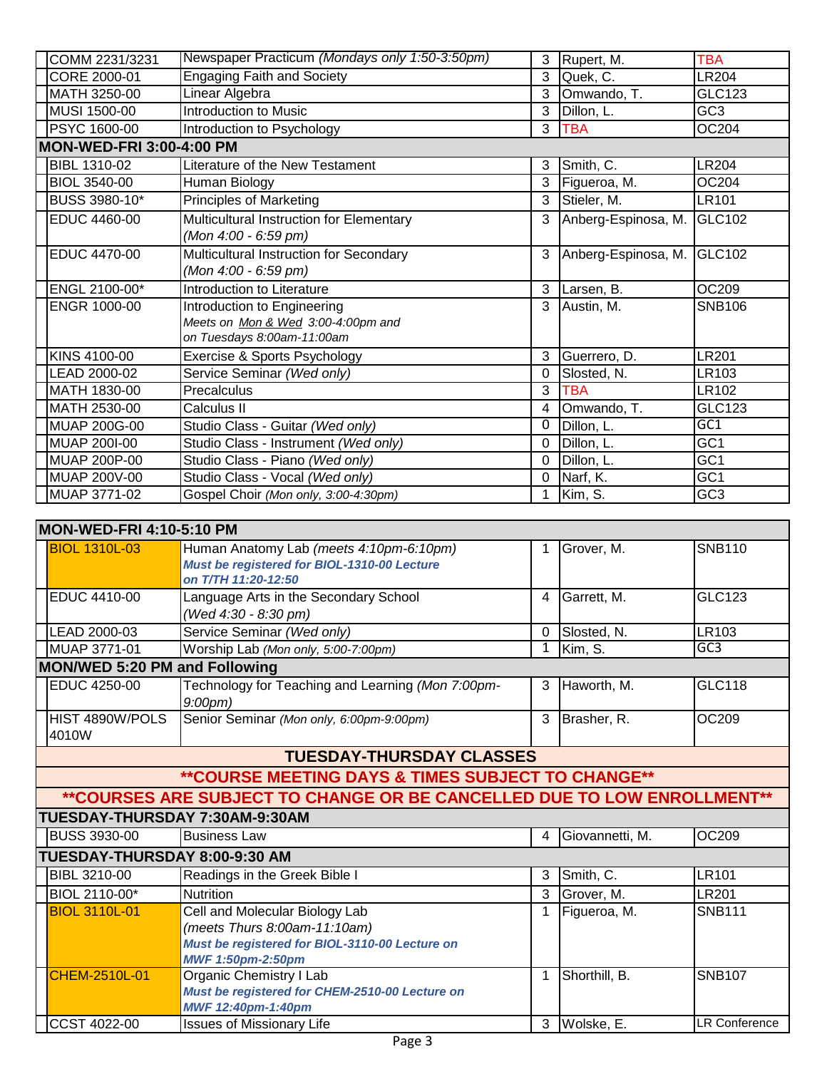| COMM 2231/3231                  | Newspaper Practicum (Mondays only 1:50-3:50pm) | 3              | Rupert, M.          | <b>TBA</b>      |
|---------------------------------|------------------------------------------------|----------------|---------------------|-----------------|
| CORE 2000-01                    | <b>Engaging Faith and Society</b>              | 3              | Quek, C.            | <b>LR204</b>    |
| MATH 3250-00                    | Linear Algebra                                 | 3              | Omwando, T.         | <b>GLC123</b>   |
| MUSI 1500-00                    | Introduction to Music                          | 3              | Dillon, L.          | GC <sub>3</sub> |
| PSYC 1600-00                    | Introduction to Psychology                     | 3              | <b>TBA</b>          | OC204           |
| <b>MON-WED-FRI 3:00-4:00 PM</b> |                                                |                |                     |                 |
| BIBL 1310-02                    | Literature of the New Testament                | 3              | Smith, C.           | <b>LR204</b>    |
| BIOL 3540-00                    | Human Biology                                  | 3              | Figueroa, M.        | OC204           |
| BUSS 3980-10*                   | <b>Principles of Marketing</b>                 | 3              | Stieler, M.         | LR101           |
| EDUC 4460-00                    | Multicultural Instruction for Elementary       | 3              | Anberg-Espinosa, M. | GLC102          |
|                                 | (Mon 4:00 - 6:59 pm)                           |                |                     |                 |
| EDUC 4470-00                    | Multicultural Instruction for Secondary        | 3              | Anberg-Espinosa, M. | GLC102          |
|                                 | (Mon 4:00 - 6:59 pm)                           |                |                     |                 |
| ENGL 2100-00*                   | Introduction to Literature                     | 3              | Larsen, B.          | OC209           |
| <b>ENGR 1000-00</b>             | Introduction to Engineering                    | 3              | Austin, M.          | <b>SNB106</b>   |
|                                 | Meets on Mon & Wed 3:00-4:00pm and             |                |                     |                 |
|                                 | on Tuesdays 8:00am-11:00am                     |                |                     |                 |
| KINS 4100-00                    | Exercise & Sports Psychology                   | 3              | Guerrero, D.        | LR201           |
| LEAD 2000-02                    | Service Seminar (Wed only)                     | $\Omega$       | Slosted, N.         | LR103           |
| MATH 1830-00                    | Precalculus                                    | 3              | TBA                 | LR102           |
| MATH 2530-00                    | Calculus II                                    | $\overline{4}$ | Omwando, T.         | <b>GLC123</b>   |
| <b>MUAP 200G-00</b>             | Studio Class - Guitar (Wed only)               | 0              | Dillon, L.          | GC1             |
| MUAP 200I-00                    | Studio Class - Instrument (Wed only)           | $\Omega$       | Dillon, L.          | GC <sub>1</sub> |
| MUAP 200P-00                    | Studio Class - Piano (Wed only)                | $\Omega$       | Dillon, L.          | GC <sub>1</sub> |
| MUAP 200V-00                    | Studio Class - Vocal (Wed only)                | 0              | Narf, K.            | GC <sub>1</sub> |
| MUAP 3771-02                    | Gospel Choir (Mon only, 3:00-4:30pm)           | $\mathbf 1$    | Kim, S.             | GC <sub>3</sub> |
|                                 |                                                |                |                     |                 |

| MON-WED-FRI 4:10-5:10 PM      |                                                                                                                                       |              |                 |                      |
|-------------------------------|---------------------------------------------------------------------------------------------------------------------------------------|--------------|-----------------|----------------------|
| <b>BIOL 1310L-03</b>          | Human Anatomy Lab (meets 4:10pm-6:10pm)<br>Must be registered for BIOL-1310-00 Lecture<br>on T/TH 11:20-12:50                         | 1            | Grover, M.      | <b>SNB110</b>        |
| EDUC 4410-00                  | Language Arts in the Secondary School<br>(Wed 4:30 - 8:30 pm)                                                                         | 4            | Garrett, M.     | <b>GLC123</b>        |
| LEAD 2000-03                  | Service Seminar (Wed only)                                                                                                            | $\mathbf 0$  | Slosted, N.     | LR103                |
| MUAP 3771-01                  | Worship Lab (Mon only, 5:00-7:00pm)                                                                                                   | $\mathbf{1}$ | Kim, S.         | GC3                  |
| MON/WED 5:20 PM and Following |                                                                                                                                       |              |                 |                      |
| EDUC 4250-00                  | Technology for Teaching and Learning (Mon 7:00pm-<br>$9:00$ pm $)$                                                                    | 3            | Haworth, M.     | <b>GLC118</b>        |
| HIST 4890W/POLS<br>4010W      | Senior Seminar (Mon only, 6:00pm-9:00pm)                                                                                              | 3            | Brasher, R.     | OC209                |
|                               | <b>TUESDAY-THURSDAY CLASSES</b>                                                                                                       |              |                 |                      |
|                               | **COURSE MEETING DAYS & TIMES SUBJECT TO CHANGE**                                                                                     |              |                 |                      |
|                               | **COURSES ARE SUBJECT TO CHANGE OR BE CANCELLED DUE TO LOW ENROLLMENT**                                                               |              |                 |                      |
|                               | TUESDAY-THURSDAY 7:30AM-9:30AM                                                                                                        |              |                 |                      |
| <b>BUSS 3930-00</b>           | <b>Business Law</b>                                                                                                                   | 4            | Giovannetti, M. | OC209                |
| TUESDAY-THURSDAY 8:00-9:30 AM |                                                                                                                                       |              |                 |                      |
| BIBL 3210-00                  | Readings in the Greek Bible I                                                                                                         | 3            | Smith, C.       | <b>LR101</b>         |
| BIOL 2110-00*                 | <b>Nutrition</b>                                                                                                                      | 3            | Grover, M.      | <b>LR201</b>         |
| <b>BIOL 3110L-01</b>          | Cell and Molecular Biology Lab<br>(meets Thurs 8:00am-11:10am)<br>Must be registered for BIOL-3110-00 Lecture on<br>MWF 1:50pm-2:50pm |              | Figueroa, M.    | <b>SNB111</b>        |
| <b>CHEM-2510L-01</b>          | Organic Chemistry I Lab<br>Must be registered for CHEM-2510-00 Lecture on<br>MWF 12:40pm-1:40pm                                       | 1            | Shorthill, B.   | <b>SNB107</b>        |
| CCST 4022-00                  | <b>Issues of Missionary Life</b>                                                                                                      |              | 3 Wolske, E.    | <b>LR Conference</b> |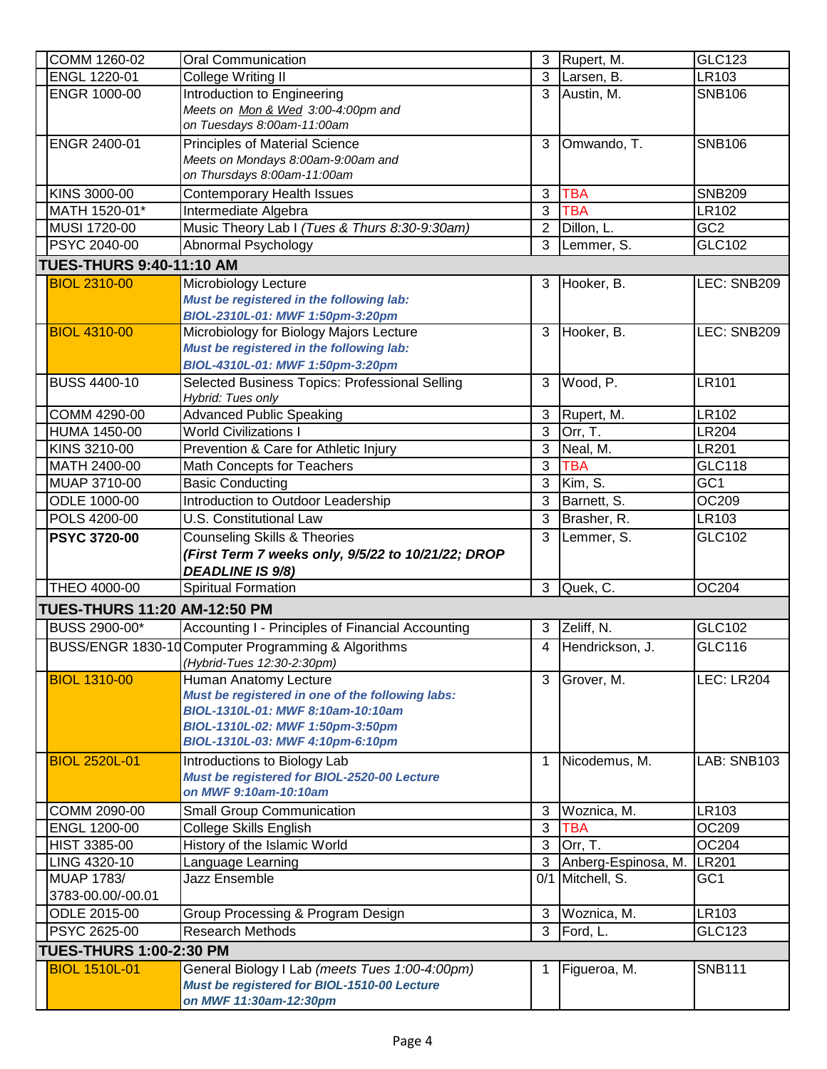| COMM 1260-02                        | <b>Oral Communication</b>                                             | 3              | Rupert, M.          | GLC123            |
|-------------------------------------|-----------------------------------------------------------------------|----------------|---------------------|-------------------|
| ENGL 1220-01                        | College Writing II                                                    | 3              | Larsen, B.          | LR103             |
| ENGR 1000-00                        | Introduction to Engineering                                           | 3              | Austin, M.          | <b>SNB106</b>     |
|                                     | Meets on Mon & Wed 3:00-4:00pm and                                    |                |                     |                   |
|                                     | on Tuesdays 8:00am-11:00am                                            |                |                     |                   |
| ENGR 2400-01                        | <b>Principles of Material Science</b>                                 | 3              | Omwando, T.         | <b>SNB106</b>     |
|                                     | Meets on Mondays 8:00am-9:00am and                                    |                |                     |                   |
|                                     | on Thursdays 8:00am-11:00am                                           |                |                     |                   |
| KINS 3000-00                        | <b>Contemporary Health Issues</b>                                     | 3              | <b>TBA</b>          | <b>SNB209</b>     |
| MATH 1520-01*                       | Intermediate Algebra                                                  | 3              | <b>TBA</b>          | LR102             |
| MUSI 1720-00                        | Music Theory Lab I (Tues & Thurs 8:30-9:30am)                         | $\overline{2}$ | Dillon, L.          | GC <sub>2</sub>   |
| PSYC 2040-00                        | Abnormal Psychology                                                   | 3              | Lemmer, S.          | GLC102            |
| <b>TUES-THURS 9:40-11:10 AM</b>     |                                                                       |                |                     |                   |
| <b>BIOL 2310-00</b>                 | Microbiology Lecture                                                  | 3              | Hooker, B.          | LEC: SNB209       |
|                                     | Must be registered in the following lab:                              |                |                     |                   |
|                                     | BIOL-2310L-01: MWF 1:50pm-3:20pm                                      |                |                     |                   |
| <b>BIOL 4310-00</b>                 | Microbiology for Biology Majors Lecture                               | 3              | Hooker, B.          | LEC: SNB209       |
|                                     | Must be registered in the following lab:                              |                |                     |                   |
|                                     | BIOL-4310L-01: MWF 1:50pm-3:20pm                                      |                |                     |                   |
| <b>BUSS 4400-10</b>                 | Selected Business Topics: Professional Selling                        | 3              | Wood, P.            | <b>LR101</b>      |
| <b>COMM 4290-00</b>                 | Hybrid: Tues only<br><b>Advanced Public Speaking</b>                  | $\mathfrak{B}$ | Rupert, M.          | <b>LR102</b>      |
| <b>HUMA 1450-00</b>                 | <b>World Civilizations I</b>                                          | $\mathfrak{B}$ | Orr, T.             | <b>LR204</b>      |
| KINS 3210-00                        | Prevention & Care for Athletic Injury                                 | $\overline{3}$ | Neal, M.            | <b>LR201</b>      |
| MATH 2400-00                        | Math Concepts for Teachers                                            | 3              | <b>TBA</b>          | <b>GLC118</b>     |
| MUAP 3710-00                        | <b>Basic Conducting</b>                                               | 3              | Kim, S.             | GC <sub>1</sub>   |
| ODLE 1000-00                        | Introduction to Outdoor Leadership                                    | 3              | Barnett, S.         | OC209             |
| POLS 4200-00                        | <b>U.S. Constitutional Law</b>                                        | 3              | Brasher, R.         | LR103             |
|                                     |                                                                       |                |                     |                   |
|                                     |                                                                       |                |                     |                   |
| <b>PSYC 3720-00</b>                 | <b>Counseling Skills &amp; Theories</b>                               | 3              | Lemmer, S.          | GLC102            |
|                                     | (First Term 7 weeks only, 9/5/22 to 10/21/22; DROP                    |                |                     |                   |
|                                     | <b>DEADLINE IS 9/8)</b>                                               |                |                     |                   |
| THEO 4000-00                        | <b>Spiritual Formation</b>                                            | 3              | Quek, C.            | OC204             |
| <b>TUES-THURS 11:20 AM-12:50 PM</b> |                                                                       |                |                     |                   |
| BUSS 2900-00*                       | Accounting I - Principles of Financial Accounting                     | 3              | Zeliff, N.          | GLC102            |
|                                     | BUSS/ENGR 1830-10 Computer Programming & Algorithms                   | $\overline{4}$ | Hendrickson, J.     | GLC116            |
|                                     | (Hybrid-Tues 12:30-2:30pm)                                            |                |                     |                   |
| <b>BIOL 1310-00</b>                 | Human Anatomy Lecture                                                 | 3              | Grover, M.          | <b>LEC: LR204</b> |
|                                     | Must be registered in one of the following labs:                      |                |                     |                   |
|                                     | BIOL-1310L-01: MWF 8:10am-10:10am<br>BIOL-1310L-02: MWF 1:50pm-3:50pm |                |                     |                   |
|                                     | BIOL-1310L-03: MWF 4:10pm-6:10pm                                      |                |                     |                   |
| <b>BIOL 2520L-01</b>                | Introductions to Biology Lab                                          | $\mathbf{1}$   | Nicodemus, M.       | LAB: SNB103       |
|                                     | Must be registered for BIOL-2520-00 Lecture                           |                |                     |                   |
|                                     | on MWF 9:10am-10:10am                                                 |                |                     |                   |
| COMM 2090-00                        | <b>Small Group Communication</b>                                      | 3              | Woznica, M.         | LR103             |
| ENGL 1200-00                        | College Skills English                                                | 3              | <b>TBA</b>          | OC209             |
| HIST 3385-00                        | History of the Islamic World                                          | 3              | Orr, T.             | OC204             |
| LING 4320-10                        | Language Learning                                                     | 3              | Anberg-Espinosa, M. | <b>LR201</b>      |
| <b>MUAP 1783/</b>                   | Jazz Ensemble                                                         | 0/1            | Mitchell, S.        | GC <sub>1</sub>   |
| 3783-00.00/-00.01                   |                                                                       |                |                     |                   |
| ODLE 2015-00                        | Group Processing & Program Design                                     | 3              | Woznica, M.         | LR103             |
| PSYC 2625-00                        | <b>Research Methods</b>                                               | 3              | Ford, L.            | <b>GLC123</b>     |
| <b>TUES-THURS 1:00-2:30 PM</b>      |                                                                       |                |                     |                   |
| <b>BIOL 1510L-01</b>                | General Biology I Lab (meets Tues 1:00-4:00pm)                        | 1              | Figueroa, M.        | <b>SNB111</b>     |
|                                     | Must be registered for BIOL-1510-00 Lecture<br>on MWF 11:30am-12:30pm |                |                     |                   |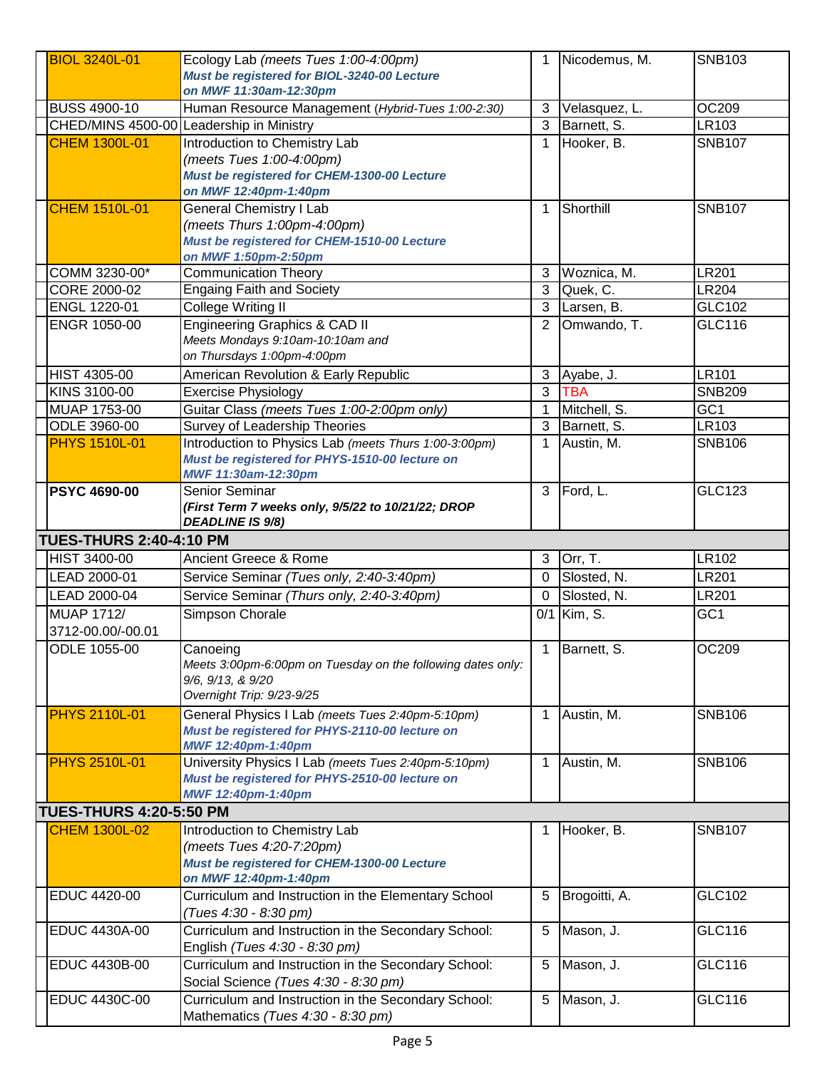| <b>BIOL 3240L-01</b>           | Ecology Lab (meets Tues 1:00-4:00pm)                                                     | 1            | Nicodemus, M. | <b>SNB103</b>   |
|--------------------------------|------------------------------------------------------------------------------------------|--------------|---------------|-----------------|
|                                | Must be registered for BIOL-3240-00 Lecture                                              |              |               |                 |
|                                | on MWF 11:30am-12:30pm                                                                   |              |               |                 |
| <b>BUSS 4900-10</b>            | Human Resource Management (Hybrid-Tues 1:00-2:30)                                        | 3            | Velasquez, L. | OC209           |
|                                | CHED/MINS 4500-00 Leadership in Ministry                                                 | 3            | Barnett, S.   | LR103           |
| <b>CHEM 1300L-01</b>           | Introduction to Chemistry Lab                                                            | $\mathbf 1$  | Hooker, B.    | <b>SNB107</b>   |
|                                | (meets Tues 1:00-4:00pm)                                                                 |              |               |                 |
|                                | Must be registered for CHEM-1300-00 Lecture                                              |              |               |                 |
|                                | on MWF 12:40pm-1:40pm                                                                    |              |               |                 |
|                                |                                                                                          |              | Shorthill     |                 |
| <b>CHEM 1510L-01</b>           | <b>General Chemistry I Lab</b>                                                           | $\mathbf{1}$ |               | <b>SNB107</b>   |
|                                | (meets Thurs 1:00pm-4:00pm)                                                              |              |               |                 |
|                                | Must be registered for CHEM-1510-00 Lecture                                              |              |               |                 |
|                                | on MWF 1:50pm-2:50pm                                                                     |              | Woznica, M.   | <b>LR201</b>    |
| COMM 3230-00*                  | <b>Communication Theory</b>                                                              | 3            |               |                 |
| CORE 2000-02                   | <b>Engaing Faith and Society</b>                                                         | 3            | Quek, C.      | <b>LR204</b>    |
| ENGL 1220-01                   | College Writing II                                                                       | 3            | Larsen, B.    | GLC102          |
| ENGR 1050-00                   | Engineering Graphics & CAD II                                                            | 2            | Omwando, T.   | GLC116          |
|                                | Meets Mondays 9:10am-10:10am and                                                         |              |               |                 |
|                                | on Thursdays 1:00pm-4:00pm                                                               |              |               |                 |
| <b>HIST 4305-00</b>            | American Revolution & Early Republic                                                     | 3            | Ayabe, J.     | <b>LR101</b>    |
| KINS 3100-00                   | <b>Exercise Physiology</b>                                                               | 3            | <b>TBA</b>    | <b>SNB209</b>   |
| MUAP 1753-00                   | Guitar Class (meets Tues 1:00-2:00pm only)                                               | $\mathbf 1$  | Mitchell, S.  | GC <sub>1</sub> |
| ODLE 3960-00                   | Survey of Leadership Theories                                                            | 3            | Barnett, S.   | LR103           |
| <b>PHYS 1510L-01</b>           | Introduction to Physics Lab (meets Thurs 1:00-3:00pm)                                    | 1            | Austin, M.    | <b>SNB106</b>   |
|                                | Must be registered for PHYS-1510-00 lecture on                                           |              |               |                 |
|                                | MWF 11:30am-12:30pm                                                                      |              |               |                 |
| <b>PSYC 4690-00</b>            | Senior Seminar                                                                           | 3            | Ford, L.      | <b>GLC123</b>   |
|                                | (First Term 7 weeks only, 9/5/22 to 10/21/22; DROP                                       |              |               |                 |
|                                | <b>DEADLINE IS 9/8)</b>                                                                  |              |               |                 |
|                                |                                                                                          |              |               |                 |
| <b>TUES-THURS 2:40-4:10 PM</b> |                                                                                          |              |               |                 |
| <b>HIST 3400-00</b>            | Ancient Greece & Rome                                                                    | 3            | Orr, T.       | LR102           |
| LEAD 2000-01                   |                                                                                          | $\mathbf 0$  | Slosted, N.   | <b>LR201</b>    |
|                                | Service Seminar (Tues only, 2:40-3:40pm)                                                 | 0            |               |                 |
| LEAD 2000-04                   | Service Seminar (Thurs only, 2:40-3:40pm)                                                |              | Slosted, N.   | <b>LR201</b>    |
| <b>MUAP 1712/</b>              | Simpson Chorale                                                                          |              | 0/1 Kim, S.   | GC <sub>1</sub> |
| 3712-00.00/-00.01              |                                                                                          |              |               |                 |
| ODLE 1055-00                   | Canoeing                                                                                 | $\mathbf{1}$ | Barnett, S.   | <b>OC209</b>    |
|                                | Meets 3:00pm-6:00pm on Tuesday on the following dates only:                              |              |               |                 |
|                                | 9/6, 9/13, & 9/20<br>Overnight Trip: 9/23-9/25                                           |              |               |                 |
|                                |                                                                                          |              |               |                 |
| <b>PHYS 2110L-01</b>           | General Physics I Lab (meets Tues 2:40pm-5:10pm)                                         | $\mathbf{1}$ | Austin, M.    | <b>SNB106</b>   |
|                                | Must be registered for PHYS-2110-00 lecture on                                           |              |               |                 |
|                                | MWF 12:40pm-1:40pm                                                                       |              |               |                 |
| <b>PHYS 2510L-01</b>           | University Physics I Lab (meets Tues 2:40pm-5:10pm)                                      | $\mathbf 1$  | Austin, M.    | <b>SNB106</b>   |
|                                | Must be registered for PHYS-2510-00 lecture on                                           |              |               |                 |
|                                | MWF 12:40pm-1:40pm                                                                       |              |               |                 |
| <b>TUES-THURS 4:20-5:50 PM</b> |                                                                                          |              |               |                 |
| <b>CHEM 1300L-02</b>           | Introduction to Chemistry Lab                                                            | 1            | Hooker, B.    | <b>SNB107</b>   |
|                                | (meets Tues 4:20-7:20pm)                                                                 |              |               |                 |
|                                | Must be registered for CHEM-1300-00 Lecture                                              |              |               |                 |
|                                | on MWF 12:40pm-1:40pm                                                                    |              |               |                 |
| EDUC 4420-00                   | Curriculum and Instruction in the Elementary School                                      | 5            | Brogoitti, A. | GLC102          |
|                                | (Tues 4:30 - 8:30 pm)                                                                    |              |               |                 |
| EDUC 4430A-00                  | Curriculum and Instruction in the Secondary School:                                      | 5            | Mason, J.     | GLC116          |
|                                | English (Tues 4:30 - 8:30 pm)                                                            |              |               |                 |
| EDUC 4430B-00                  | Curriculum and Instruction in the Secondary School:                                      | 5            | Mason, J.     | GLC116          |
|                                | Social Science (Tues 4:30 - 8:30 pm)                                                     |              |               |                 |
| EDUC 4430C-00                  | Curriculum and Instruction in the Secondary School:<br>Mathematics (Tues 4:30 - 8:30 pm) | 5            | Mason, J.     | GLC116          |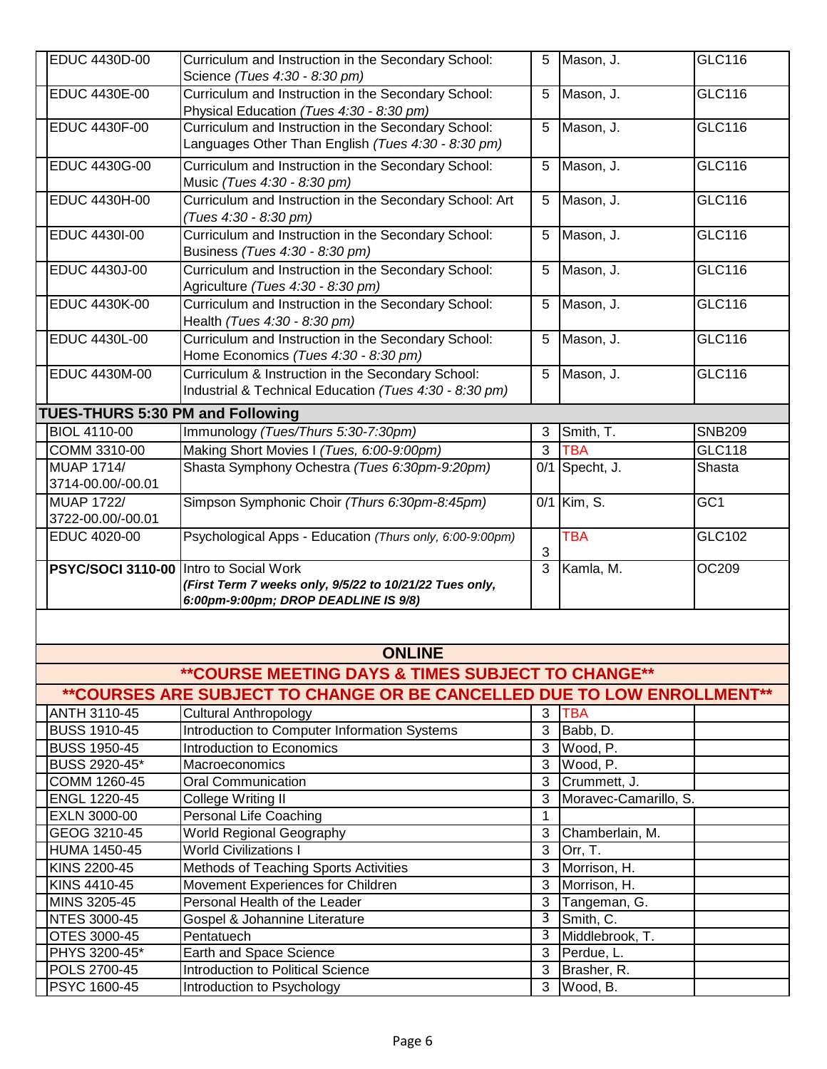| EDUC 4430D-00                          | Curriculum and Instruction in the Secondary School:<br>Science (Tues 4:30 - 8:30 pm)                        | 5  | Mason, J.             | GLC116          |
|----------------------------------------|-------------------------------------------------------------------------------------------------------------|----|-----------------------|-----------------|
| EDUC 4430E-00                          | Curriculum and Instruction in the Secondary School:<br>Physical Education (Tues 4:30 - 8:30 pm)             | 5  | Mason, J.             | <b>GLC116</b>   |
| EDUC 4430F-00                          | Curriculum and Instruction in the Secondary School:<br>Languages Other Than English (Tues 4:30 - 8:30 pm)   | 5  | Mason, J.             | GLC116          |
| EDUC 4430G-00                          | Curriculum and Instruction in the Secondary School:<br>Music (Tues 4:30 - 8:30 pm)                          | 5  | Mason, J.             | <b>GLC116</b>   |
| EDUC 4430H-00                          | Curriculum and Instruction in the Secondary School: Art<br>(Tues 4:30 - 8:30 pm)                            | 5  | Mason, J.             | GLC116          |
| EDUC 4430I-00                          | Curriculum and Instruction in the Secondary School:<br>Business (Tues 4:30 - 8:30 pm)                       | 5  | Mason, J.             | GLC116          |
| EDUC 4430J-00                          | Curriculum and Instruction in the Secondary School:<br>Agriculture (Tues 4:30 - 8:30 pm)                    | 5  | Mason, J.             | <b>GLC116</b>   |
| EDUC 4430K-00                          | Curriculum and Instruction in the Secondary School:<br>Health (Tues 4:30 - 8:30 pm)                         | 5  | Mason, J.             | <b>GLC116</b>   |
| EDUC 4430L-00                          | Curriculum and Instruction in the Secondary School:<br>Home Economics (Tues 4:30 - 8:30 pm)                 | 5  | Mason, J.             | GLC116          |
| EDUC 4430M-00                          | Curriculum & Instruction in the Secondary School:<br>Industrial & Technical Education (Tues 4:30 - 8:30 pm) | 5  | Mason, J.             | GLC116          |
| TUES-THURS 5:30 PM and Following       |                                                                                                             |    |                       |                 |
| <b>BIOL 4110-00</b>                    | Immunology (Tues/Thurs 5:30-7:30pm)                                                                         | 3  | Smith, T.             | <b>SNB209</b>   |
| COMM 3310-00                           | Making Short Movies I (Tues, 6:00-9:00pm)                                                                   | 3  | <b>TBA</b>            | <b>GLC118</b>   |
| <b>MUAP 1714/</b>                      | Shasta Symphony Ochestra (Tues 6:30pm-9:20pm)                                                               |    | $0/1$ Specht, J.      | Shasta          |
| 3714-00.00/-00.01                      |                                                                                                             |    |                       |                 |
| <b>MUAP 1722/</b>                      | Simpson Symphonic Choir (Thurs 6:30pm-8:45pm)                                                               |    | 0/1 Kim, S.           | GC <sub>1</sub> |
| 3722-00.00/-00.01                      |                                                                                                             |    |                       |                 |
| EDUC 4020-00                           | Psychological Apps - Education (Thurs only, 6:00-9:00pm)                                                    | 3  | <b>TBA</b>            | GLC102          |
| PSYC/SOCI 3110-00 Intro to Social Work | (First Term 7 weeks only, 9/5/22 to 10/21/22 Tues only,<br>6:00pm-9:00pm; DROP DEADLINE IS 9/8)             | 3  | Kamla, M.             | OC209           |
|                                        |                                                                                                             |    |                       |                 |
|                                        | <b>ONLINE</b>                                                                                               |    |                       |                 |
|                                        | ** COURSE MEETING DAYS & TIMES SUBJECT TO CHANGE**                                                          |    |                       |                 |
|                                        | ** COURSES ARE SUBJECT TO CHANGE OR BE CANCELLED DUE TO LOW ENROLLMENT**                                    |    |                       |                 |
| ANTH 3110-45                           | <b>Cultural Anthropology</b>                                                                                | 3  | <b>TBA</b>            |                 |
| <b>BUSS 1910-45</b>                    | Introduction to Computer Information Systems                                                                | 3  | Babb, D.              |                 |
| <b>BUSS 1950-45</b>                    | Introduction to Economics                                                                                   |    | 3 Wood, P.            |                 |
| <b>BUSS 2920-45*</b>                   | Macroeconomics                                                                                              |    | 3 Wood, P.            |                 |
| COMM 1260-45                           | <b>Oral Communication</b>                                                                                   | 3  | Crummett, J.          |                 |
| ENGL 1220-45                           | College Writing II                                                                                          | 3  | Moravec-Camarillo, S. |                 |
| EXLN 3000-00                           | Personal Life Coaching                                                                                      | 1  |                       |                 |
| GEOG 3210-45                           | <b>World Regional Geography</b>                                                                             | 3  | Chamberlain, M.       |                 |
| <b>HUMA 1450-45</b>                    | <b>World Civilizations I</b>                                                                                | 3  | Orr, T.               |                 |
| KINS 2200-45                           | Methods of Teaching Sports Activities                                                                       | 3  | Morrison, H.          |                 |
| KINS 4410-45                           | Movement Experiences for Children                                                                           | 3  | Morrison, H.          |                 |
| MINS 3205-45                           | Personal Health of the Leader                                                                               |    | 3 Tangeman, G.        |                 |
| <b>NTES 3000-45</b>                    | Gospel & Johannine Literature                                                                               |    | 3 Smith, C.           |                 |
| OTES 3000-45                           | Pentatuech                                                                                                  | سا | Middlebrook, T.       |                 |
| PHYS 3200-45*                          | Earth and Space Science                                                                                     | 3  | Perdue, L.            |                 |
| POLS 2700-45                           | <b>Introduction to Political Science</b>                                                                    | 3  | Brasher, R.           |                 |
| PSYC 1600-45                           | Introduction to Psychology                                                                                  | 3  | Wood, B.              |                 |